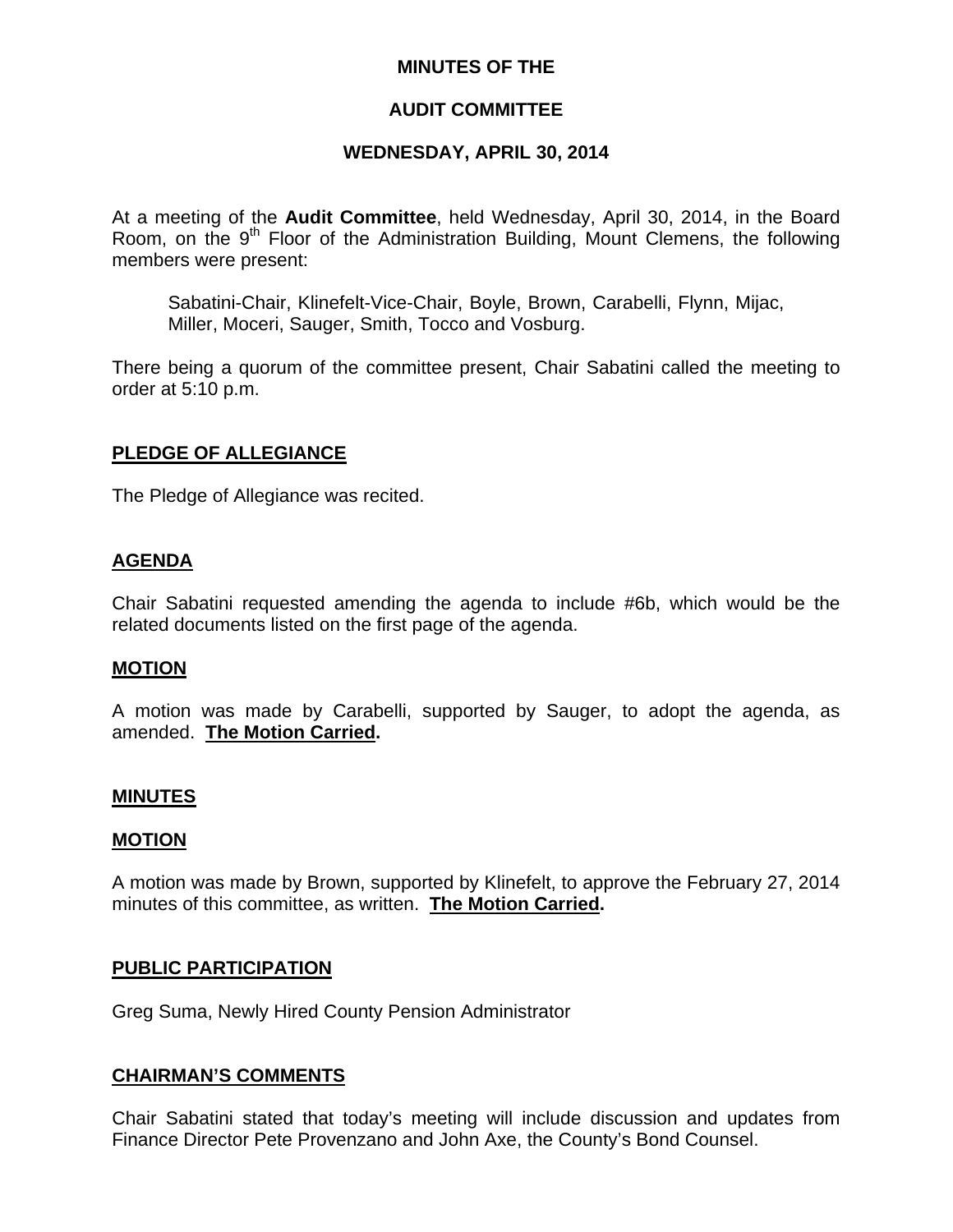## **MINUTES OF THE**

## **AUDIT COMMITTEE**

## **WEDNESDAY, APRIL 30, 2014**

At a meeting of the **Audit Committee**, held Wednesday, April 30, 2014, in the Board Room, on the 9<sup>th</sup> Floor of the Administration Building, Mount Clemens, the following members were present:

Sabatini-Chair, Klinefelt-Vice-Chair, Boyle, Brown, Carabelli, Flynn, Mijac, Miller, Moceri, Sauger, Smith, Tocco and Vosburg.

There being a quorum of the committee present, Chair Sabatini called the meeting to order at 5:10 p.m.

## **PLEDGE OF ALLEGIANCE**

The Pledge of Allegiance was recited.

## **AGENDA**

Chair Sabatini requested amending the agenda to include #6b, which would be the related documents listed on the first page of the agenda.

#### **MOTION**

A motion was made by Carabelli, supported by Sauger, to adopt the agenda, as amended. **The Motion Carried.** 

#### **MINUTES**

#### **MOTION**

A motion was made by Brown, supported by Klinefelt, to approve the February 27, 2014 minutes of this committee, as written. **The Motion Carried.** 

#### **PUBLIC PARTICIPATION**

Greg Suma, Newly Hired County Pension Administrator

#### **CHAIRMAN'S COMMENTS**

Chair Sabatini stated that today's meeting will include discussion and updates from Finance Director Pete Provenzano and John Axe, the County's Bond Counsel.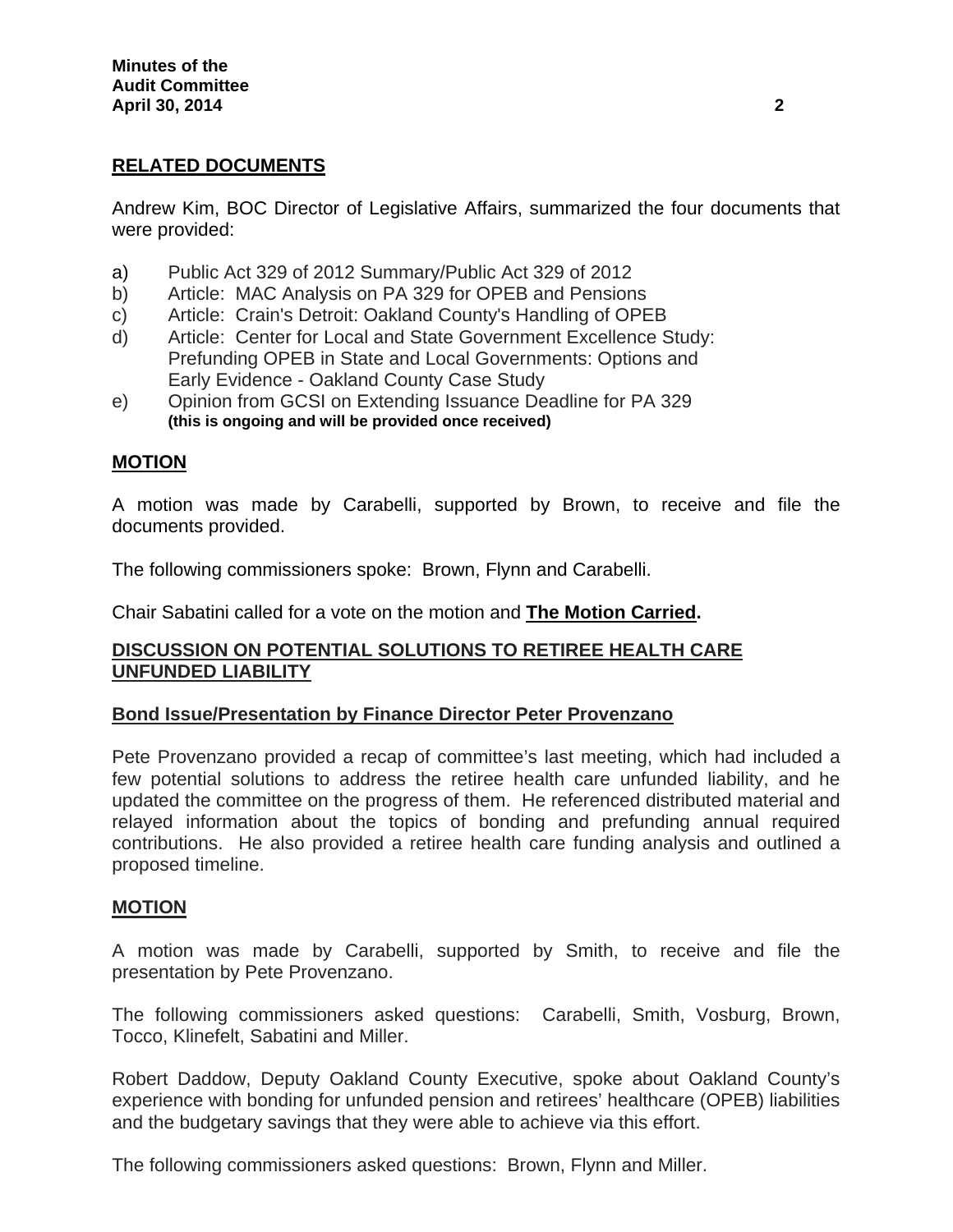# **RELATED DOCUMENTS**

Andrew Kim, BOC Director of Legislative Affairs, summarized the four documents that were provided:

- a) Public Act 329 of 2012 Summary/Public Act 329 of 2012
- b) Article: MAC Analysis on PA 329 for OPEB and Pensions
- c) Article: Crain's Detroit: Oakland County's Handling of OPEB
- d) Article: Center for Local and State Government Excellence Study: Prefunding OPEB in State and Local Governments: Options and Early Evidence - Oakland County Case Study
- e) Opinion from GCSI on Extending Issuance Deadline for PA 329  **(this is ongoing and will be provided once received)**

## **MOTION**

A motion was made by Carabelli, supported by Brown, to receive and file the documents provided.

The following commissioners spoke: Brown, Flynn and Carabelli.

Chair Sabatini called for a vote on the motion and **The Motion Carried.**

## **DISCUSSION ON POTENTIAL SOLUTIONS TO RETIREE HEALTH CARE UNFUNDED LIABILITY**

#### **Bond Issue/Presentation by Finance Director Peter Provenzano**

Pete Provenzano provided a recap of committee's last meeting, which had included a few potential solutions to address the retiree health care unfunded liability, and he updated the committee on the progress of them. He referenced distributed material and relayed information about the topics of bonding and prefunding annual required contributions. He also provided a retiree health care funding analysis and outlined a proposed timeline.

#### **MOTION**

A motion was made by Carabelli, supported by Smith, to receive and file the presentation by Pete Provenzano.

The following commissioners asked questions: Carabelli, Smith, Vosburg, Brown, Tocco, Klinefelt, Sabatini and Miller.

Robert Daddow, Deputy Oakland County Executive, spoke about Oakland County's experience with bonding for unfunded pension and retirees' healthcare (OPEB) liabilities and the budgetary savings that they were able to achieve via this effort.

The following commissioners asked questions: Brown, Flynn and Miller.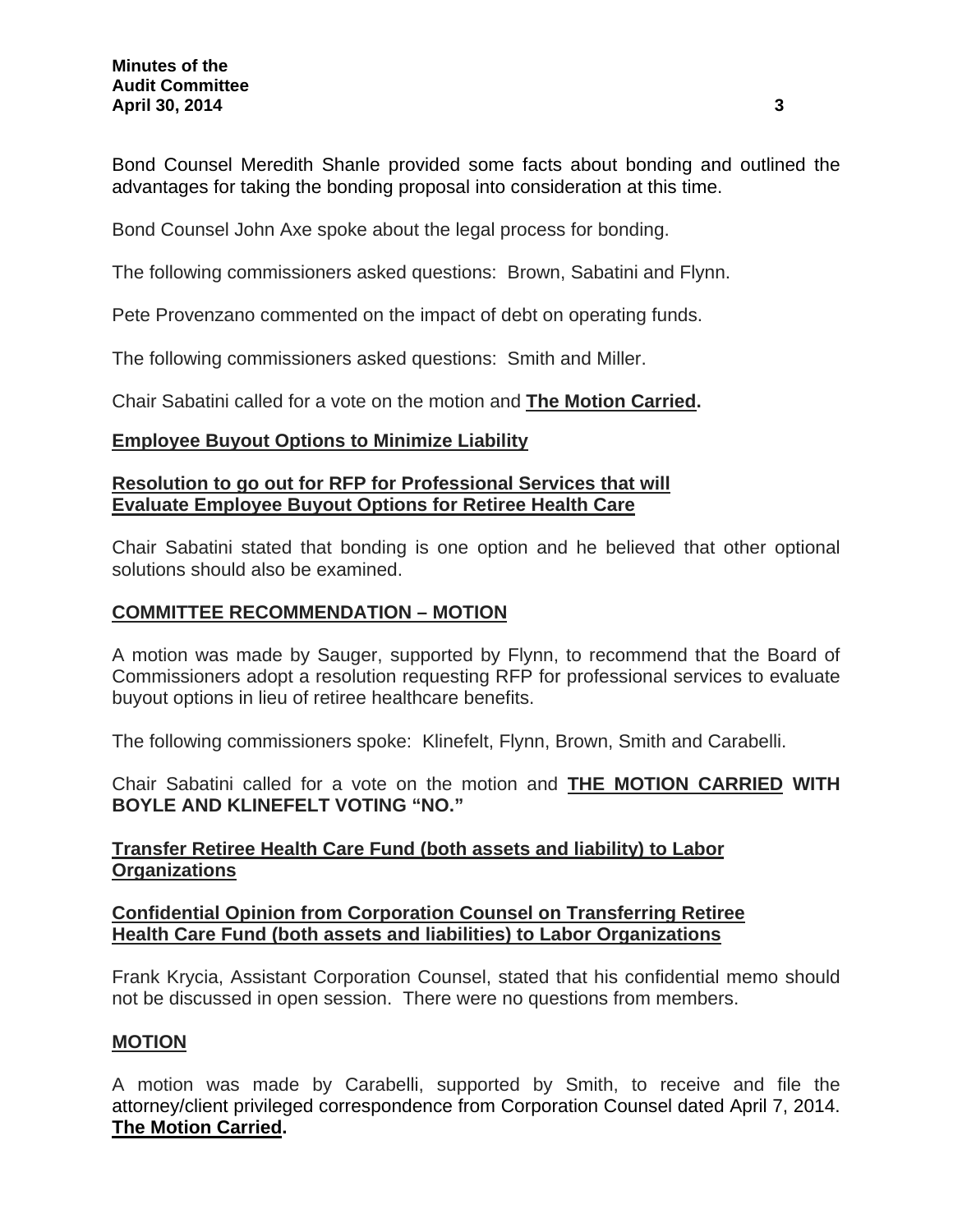Bond Counsel Meredith Shanle provided some facts about bonding and outlined the advantages for taking the bonding proposal into consideration at this time.

Bond Counsel John Axe spoke about the legal process for bonding.

The following commissioners asked questions: Brown, Sabatini and Flynn.

Pete Provenzano commented on the impact of debt on operating funds.

The following commissioners asked questions: Smith and Miller.

Chair Sabatini called for a vote on the motion and **The Motion Carried.**

## **Employee Buyout Options to Minimize Liability**

## **Resolution to go out for RFP for Professional Services that will Evaluate Employee Buyout Options for Retiree Health Care**

Chair Sabatini stated that bonding is one option and he believed that other optional solutions should also be examined.

## **COMMITTEE RECOMMENDATION – MOTION**

A motion was made by Sauger, supported by Flynn, to recommend that the Board of Commissioners adopt a resolution requesting RFP for professional services to evaluate buyout options in lieu of retiree healthcare benefits.

The following commissioners spoke: Klinefelt, Flynn, Brown, Smith and Carabelli.

Chair Sabatini called for a vote on the motion and **THE MOTION CARRIED WITH BOYLE AND KLINEFELT VOTING "NO."** 

## **Transfer Retiree Health Care Fund (both assets and liability) to Labor Organizations**

## **Confidential Opinion from Corporation Counsel on Transferring Retiree Health Care Fund (both assets and liabilities) to Labor Organizations**

Frank Krycia, Assistant Corporation Counsel, stated that his confidential memo should not be discussed in open session. There were no questions from members.

## **MOTION**

A motion was made by Carabelli, supported by Smith, to receive and file the attorney/client privileged correspondence from Corporation Counsel dated April 7, 2014. **The Motion Carried.**